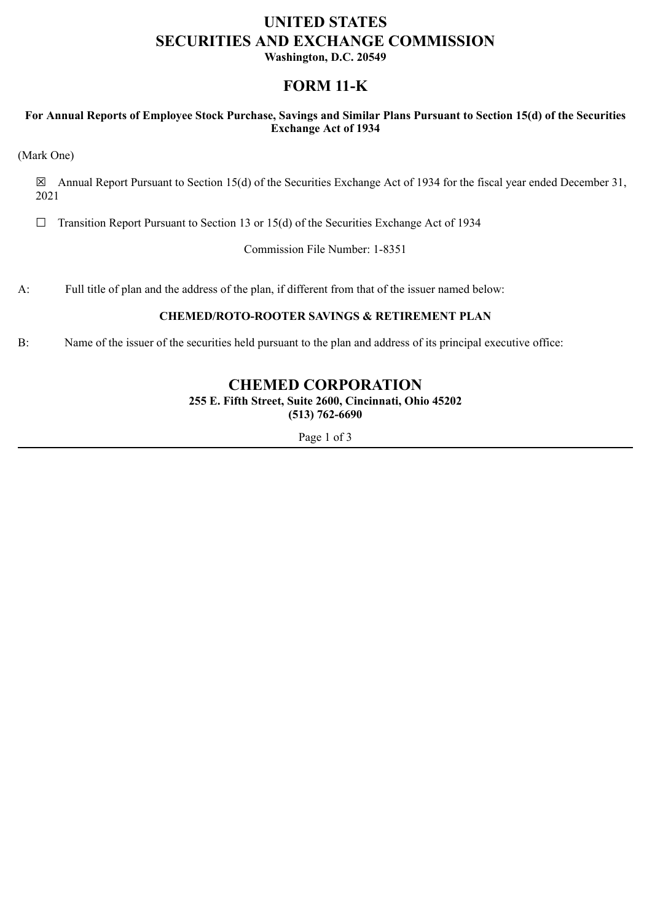# **UNITED STATES SECURITIES AND EXCHANGE COMMISSION**

**Washington, D.C. 20549**

# **FORM 11-K**

### **For Annual Reports of Employee Stock Purchase, Savings and Similar Plans Pursuant to Section 15(d) of the Securities Exchange Act of 1934**

(Mark One)

 $\boxtimes$  Annual Report Pursuant to Section 15(d) of the Securities Exchange Act of 1934 for the fiscal year ended December 31, 2021

 $\Box$  Transition Report Pursuant to Section 13 or 15(d) of the Securities Exchange Act of 1934

Commission File Number: 1-8351

A: Full title of plan and the address of the plan, if different from that of the issuer named below:

### **CHEMED/ROTO-ROOTER SAVINGS & RETIREMENT PLAN**

B: Name of the issuer of the securities held pursuant to the plan and address of its principal executive office:

# **CHEMED CORPORATION**

**255 E. Fifth Street, Suite 2600, Cincinnati, Ohio 45202 (513) 762-6690**

Page 1 of 3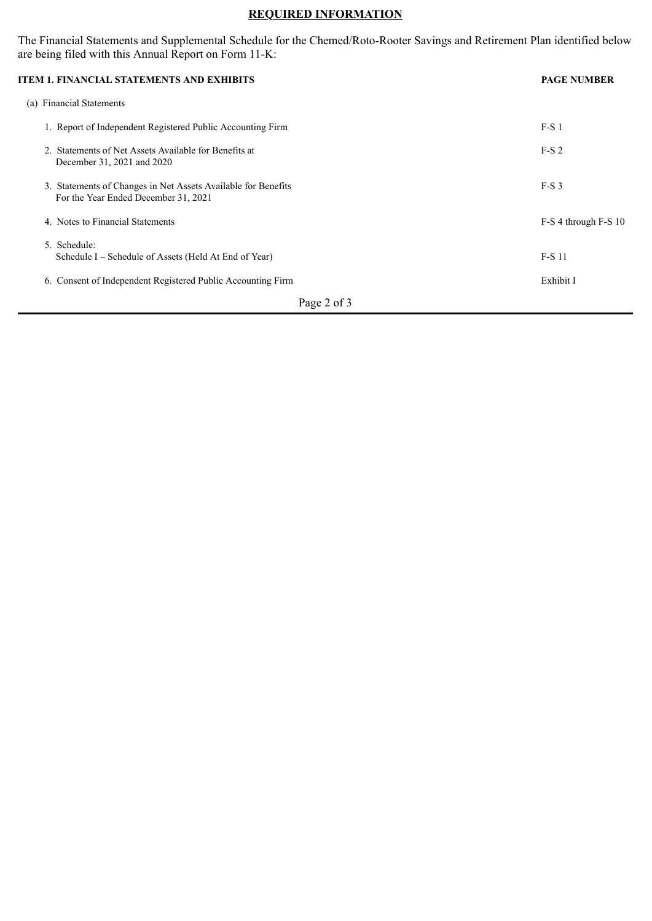# **REQUIRED INFORMATION**

The Financial Statements and Supplemental Schedule for the Chemed/Roto-Rooter Savings and Retirement Plan identified below are being filed with this Annual Report on Form 11-K:

| ITEM 1. FINANCIAL STATEMENTS AND EXHIBITS                                                             | <b>PAGE NUMBER</b>   |  |
|-------------------------------------------------------------------------------------------------------|----------------------|--|
| (a) Financial Statements                                                                              |                      |  |
| 1. Report of Independent Registered Public Accounting Firm                                            | $F-S1$               |  |
| 2. Statements of Net Assets Available for Benefits at<br>December 31, 2021 and 2020                   | $F-S2$               |  |
| 3. Statements of Changes in Net Assets Available for Benefits<br>For the Year Ended December 31, 2021 | $F-S3$               |  |
| 4. Notes to Financial Statements                                                                      | F-S 4 through F-S 10 |  |
| 5. Schedule:<br>Schedule I – Schedule of Assets (Held At End of Year)                                 | F-S 11               |  |
| 6. Consent of Independent Registered Public Accounting Firm                                           | Exhibit I            |  |
| Page 2 of 3                                                                                           |                      |  |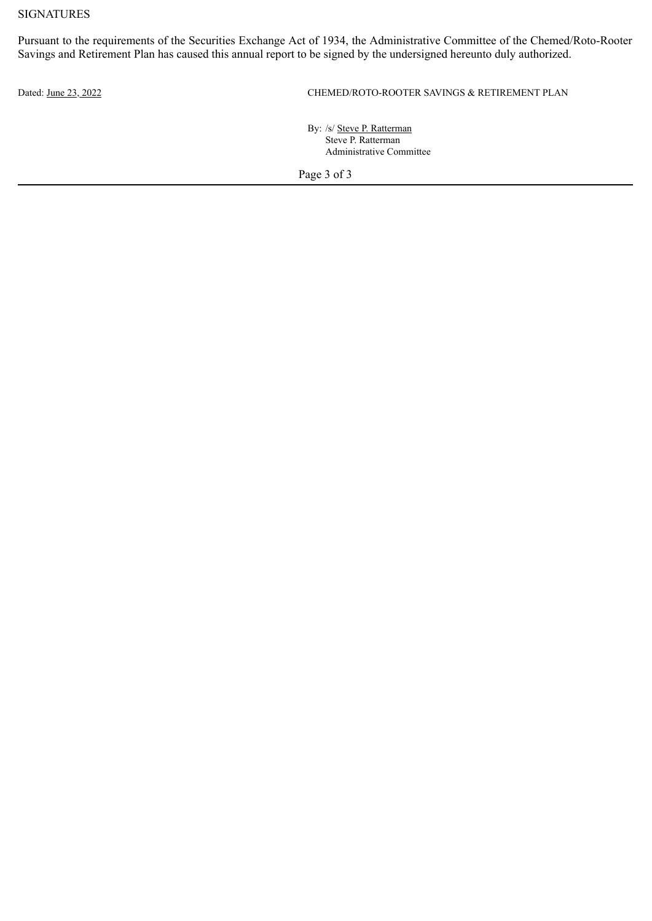#### SIGNATURES

Pursuant to the requirements of the Securities Exchange Act of 1934, the Administrative Committee of the Chemed/Roto-Rooter Savings and Retirement Plan has caused this annual report to be signed by the undersigned hereunto duly authorized.

Dated: June 23, 2022 CHEMED/ROTO-ROOTER SAVINGS & RETIREMENT PLAN

By: /s/ Steve P. Ratterman Steve P. Ratterman Administrative Committee

Page 3 of 3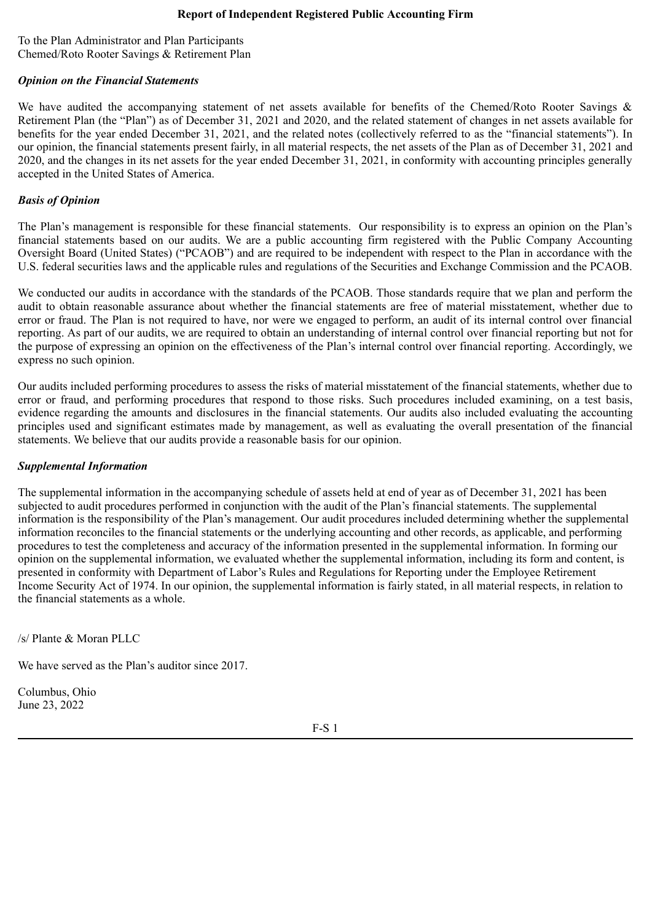#### **Report of Independent Registered Public Accounting Firm**

To the Plan Administrator and Plan Participants Chemed/Roto Rooter Savings & Retirement Plan

#### *Opinion on the Financial Statements*

We have audited the accompanying statement of net assets available for benefits of the Chemed/Roto Rooter Savings & Retirement Plan (the "Plan") as of December 31, 2021 and 2020, and the related statement of changes in net assets available for benefits for the year ended December 31, 2021, and the related notes (collectively referred to as the "financial statements"). In our opinion, the financial statements present fairly, in all material respects, the net assets of the Plan as of December 31, 2021 and 2020, and the changes in its net assets for the year ended December 31, 2021, in conformity with accounting principles generally accepted in the United States of America.

#### *Basis of Opinion*

The Plan's management is responsible for these financial statements. Our responsibility is to express an opinion on the Plan's financial statements based on our audits. We are a public accounting firm registered with the Public Company Accounting Oversight Board (United States) ("PCAOB") and are required to be independent with respect to the Plan in accordance with the U.S. federal securities laws and the applicable rules and regulations of the Securities and Exchange Commission and the PCAOB.

We conducted our audits in accordance with the standards of the PCAOB. Those standards require that we plan and perform the audit to obtain reasonable assurance about whether the financial statements are free of material misstatement, whether due to error or fraud. The Plan is not required to have, nor were we engaged to perform, an audit of its internal control over financial reporting. As part of our audits, we are required to obtain an understanding of internal control over financial reporting but not for the purpose of expressing an opinion on the effectiveness of the Plan's internal control over financial reporting. Accordingly, we express no such opinion.

Our audits included performing procedures to assess the risks of material misstatement of the financial statements, whether due to error or fraud, and performing procedures that respond to those risks. Such procedures included examining, on a test basis, evidence regarding the amounts and disclosures in the financial statements. Our audits also included evaluating the accounting principles used and significant estimates made by management, as well as evaluating the overall presentation of the financial statements. We believe that our audits provide a reasonable basis for our opinion.

#### *Supplemental Information*

The supplemental information in the accompanying schedule of assets held at end of year as of December 31, 2021 has been subjected to audit procedures performed in conjunction with the audit of the Plan's financial statements. The supplemental information is the responsibility of the Plan's management. Our audit procedures included determining whether the supplemental information reconciles to the financial statements or the underlying accounting and other records, as applicable, and performing procedures to test the completeness and accuracy of the information presented in the supplemental information. In forming our opinion on the supplemental information, we evaluated whether the supplemental information, including its form and content, is presented in conformity with Department of Labor's Rules and Regulations for Reporting under the Employee Retirement Income Security Act of 1974. In our opinion, the supplemental information is fairly stated, in all material respects, in relation to the financial statements as a whole.

/s/ Plante & Moran PLLC

We have served as the Plan's auditor since 2017.

Columbus, Ohio June 23, 2022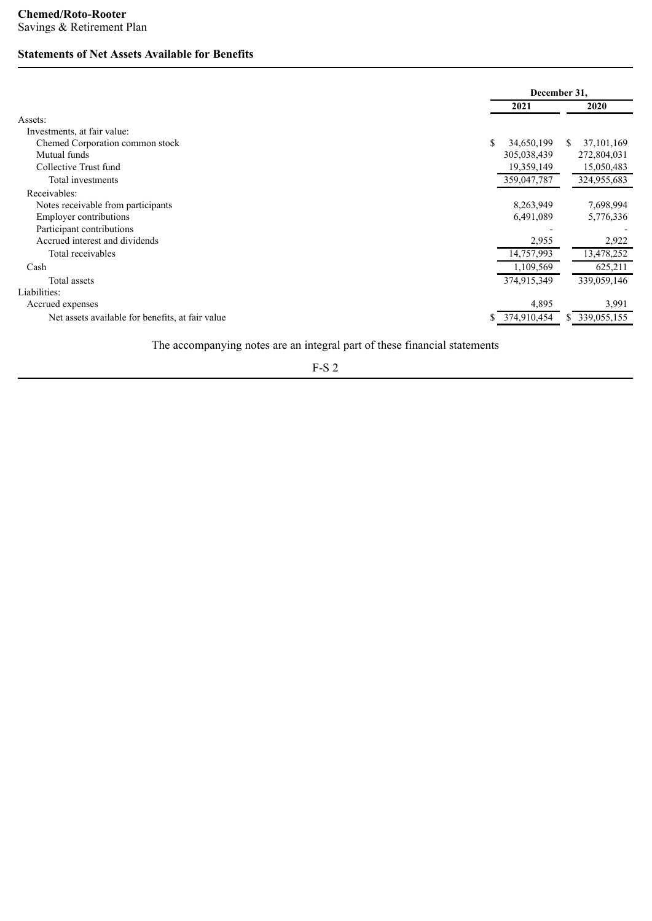### **Statements of Net Assets Available for Benefits**

|                                                  | December 31, |             |    |              |
|--------------------------------------------------|--------------|-------------|----|--------------|
|                                                  |              | 2021        |    | 2020         |
| Assets:                                          |              |             |    |              |
| Investments, at fair value:                      |              |             |    |              |
| Chemed Corporation common stock                  | \$           | 34,650,199  | S. | 37, 101, 169 |
| Mutual funds                                     |              | 305,038,439 |    | 272,804,031  |
| Collective Trust fund                            |              | 19,359,149  |    | 15,050,483   |
| Total investments                                |              | 359,047,787 |    | 324,955,683  |
| Receivables:                                     |              |             |    |              |
| Notes receivable from participants               |              | 8,263,949   |    | 7,698,994    |
| <b>Employer contributions</b>                    |              | 6,491,089   |    | 5,776,336    |
| Participant contributions                        |              |             |    |              |
| Accrued interest and dividends                   |              | 2,955       |    | 2,922        |
| Total receivables                                |              | 14,757,993  |    | 13,478,252   |
| Cash                                             |              | 1,109,569   |    | 625,211      |
| Total assets                                     |              | 374,915,349 |    | 339,059,146  |
| Liabilities:                                     |              |             |    |              |
| Accrued expenses                                 |              | 4,895       |    | 3,991        |
| Net assets available for benefits, at fair value | S            | 374,910,454 |    | 339,055,155  |

The accompanying notes are an integral part of these financial statements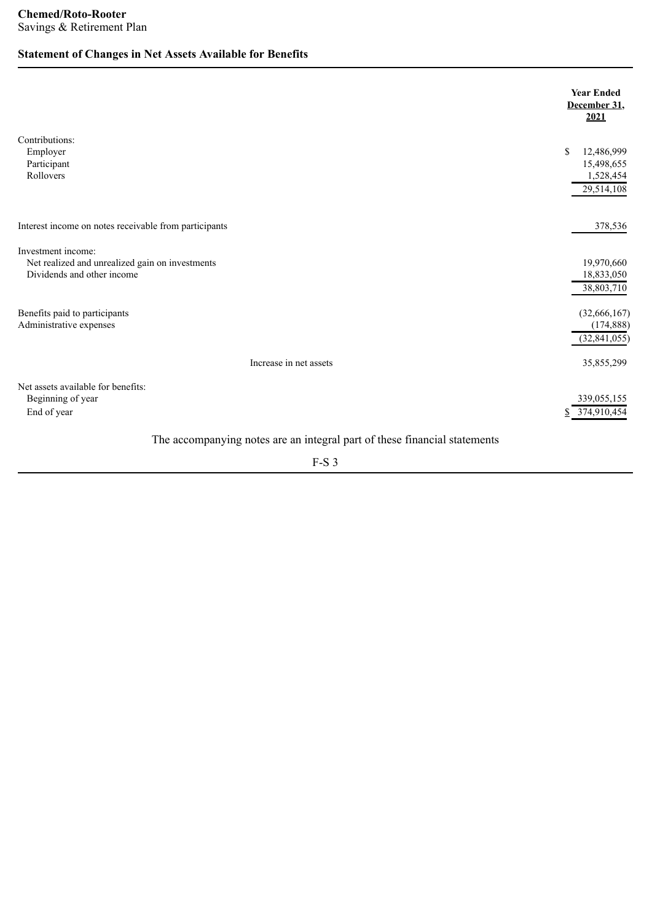# **Statement of Changes in Net Assets Available for Benefits**

|                                                                                                                                                                                                                 | <b>Year Ended</b><br>December 31,<br>2021    |            |
|-----------------------------------------------------------------------------------------------------------------------------------------------------------------------------------------------------------------|----------------------------------------------|------------|
| Contributions:<br>Employer<br>Participant<br>Rollovers                                                                                                                                                          | 12,486,999<br>\$<br>15,498,655<br>29,514,108 | 1,528,454  |
| Interest income on notes receivable from participants                                                                                                                                                           |                                              | 378,536    |
| Investment income:<br>Net realized and unrealized gain on investments<br>Dividends and other income                                                                                                             | 19,970,660<br>18,833,050<br>38,803,710       |            |
| Benefits paid to participants<br>Administrative expenses                                                                                                                                                        | (32,666,167)<br>(32, 841, 055)               | (174, 888) |
| Increase in net assets                                                                                                                                                                                          | 35,855,299                                   |            |
| Net assets available for benefits:<br>Beginning of year<br>End of year<br>$T = 1$<br>$\sim$ $\sim$ $\sim$ $\sim$ $\sim$ $\sim$<br>$\cdot$ $\cdot$ $\cdot$ $\cdot$<br><b>Contract Contract Contract Contract</b> | 339,055,155<br>\$374,910,454                 |            |

# The accompanying notes are an integral part of these financial statements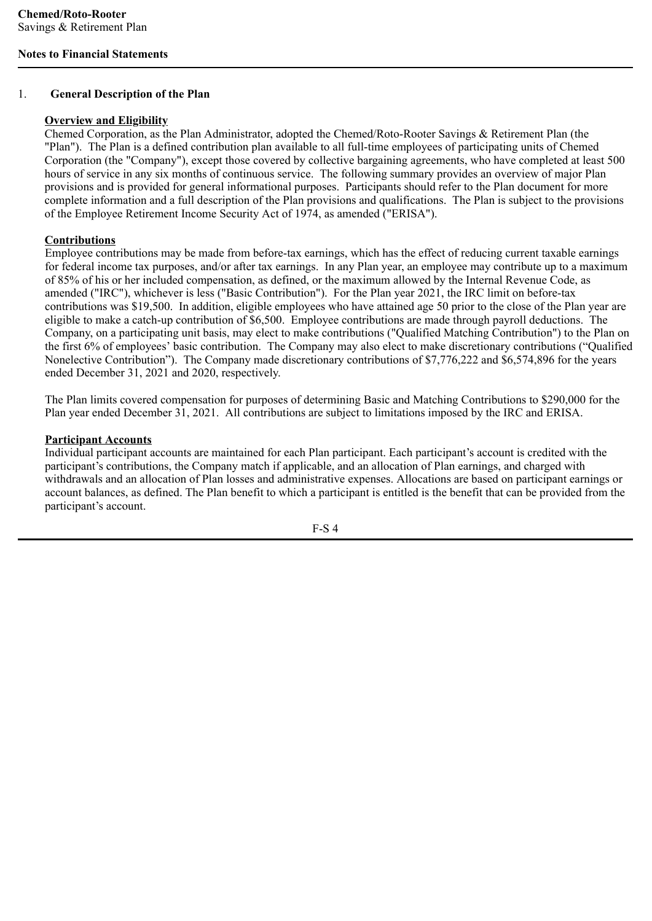# 1. **General Description of the Plan**

# **Overview and Eligibility**

Chemed Corporation, as the Plan Administrator, adopted the Chemed/Roto-Rooter Savings & Retirement Plan (the "Plan"). The Plan is a defined contribution plan available to all full-time employees of participating units of Chemed Corporation (the "Company"), except those covered by collective bargaining agreements, who have completed at least 500 hours of service in any six months of continuous service. The following summary provides an overview of major Plan provisions and is provided for general informational purposes. Participants should refer to the Plan document for more complete information and a full description of the Plan provisions and qualifications. The Plan is subject to the provisions of the Employee Retirement Income Security Act of 1974, as amended ("ERISA").

#### **Contributions**

Employee contributions may be made from before-tax earnings, which has the effect of reducing current taxable earnings for federal income tax purposes, and/or after tax earnings. In any Plan year, an employee may contribute up to a maximum of 85% of his or her included compensation, as defined, or the maximum allowed by the Internal Revenue Code, as amended ("IRC"), whichever is less ("Basic Contribution"). For the Plan year 2021, the IRC limit on before-tax contributions was \$19,500. In addition, eligible employees who have attained age 50 prior to the close of the Plan year are eligible to make a catch-up contribution of \$6,500. Employee contributions are made through payroll deductions. The Company, on a participating unit basis, may elect to make contributions ("Qualified Matching Contribution") to the Plan on the first 6% of employees' basic contribution. The Company may also elect to make discretionary contributions ("Qualified Nonelective Contribution"). The Company made discretionary contributions of \$7,776,222 and \$6,574,896 for the years ended December 31, 2021 and 2020, respectively.

The Plan limits covered compensation for purposes of determining Basic and Matching Contributions to \$290,000 for the Plan year ended December 31, 2021. All contributions are subject to limitations imposed by the IRC and ERISA.

#### **Participant Accounts**

Individual participant accounts are maintained for each Plan participant. Each participant's account is credited with the participant's contributions, the Company match if applicable, and an allocation of Plan earnings, and charged with withdrawals and an allocation of Plan losses and administrative expenses. Allocations are based on participant earnings or account balances, as defined. The Plan benefit to which a participant is entitled is the benefit that can be provided from the participant's account.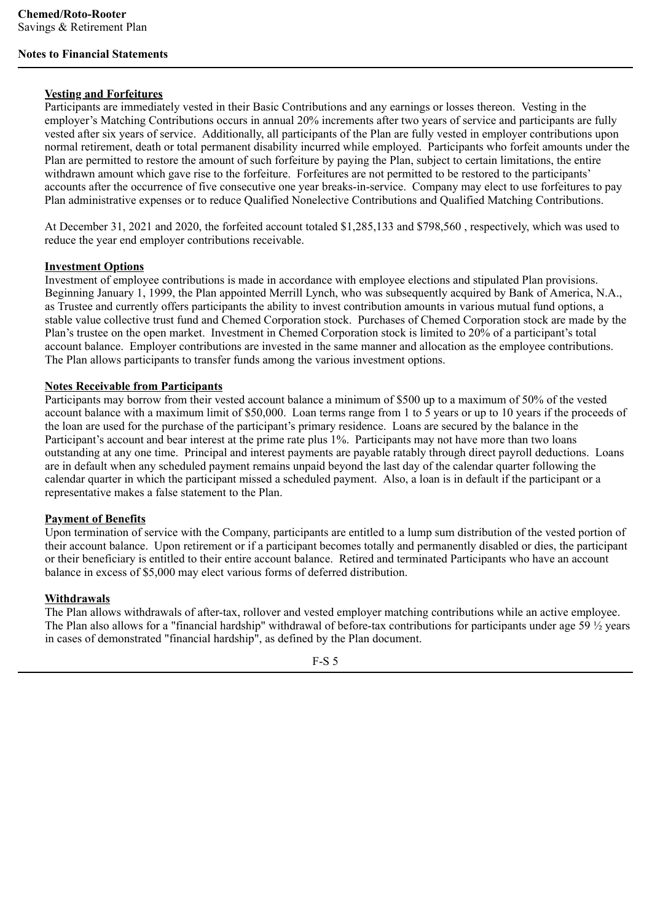### **Vesting and Forfeitures**

Participants are immediately vested in their Basic Contributions and any earnings or losses thereon. Vesting in the employer's Matching Contributions occurs in annual 20% increments after two years of service and participants are fully vested after six years of service. Additionally, all participants of the Plan are fully vested in employer contributions upon normal retirement, death or total permanent disability incurred while employed. Participants who forfeit amounts under the Plan are permitted to restore the amount of such forfeiture by paying the Plan, subject to certain limitations, the entire withdrawn amount which gave rise to the forfeiture. Forfeitures are not permitted to be restored to the participants' accounts after the occurrence of five consecutive one year breaks-in-service. Company may elect to use forfeitures to pay Plan administrative expenses or to reduce Qualified Nonelective Contributions and Qualified Matching Contributions.

At December 31, 2021 and 2020, the forfeited account totaled \$1,285,133 and \$798,560 , respectively, which was used to reduce the year end employer contributions receivable.

#### **Investment Options**

Investment of employee contributions is made in accordance with employee elections and stipulated Plan provisions. Beginning January 1, 1999, the Plan appointed Merrill Lynch, who was subsequently acquired by Bank of America, N.A., as Trustee and currently offers participants the ability to invest contribution amounts in various mutual fund options, a stable value collective trust fund and Chemed Corporation stock. Purchases of Chemed Corporation stock are made by the Plan's trustee on the open market. Investment in Chemed Corporation stock is limited to 20% of a participant's total account balance. Employer contributions are invested in the same manner and allocation as the employee contributions. The Plan allows participants to transfer funds among the various investment options.

#### **Notes Receivable from Participants**

Participants may borrow from their vested account balance a minimum of \$500 up to a maximum of 50% of the vested account balance with a maximum limit of \$50,000. Loan terms range from 1 to 5 years or up to 10 years if the proceeds of the loan are used for the purchase of the participant's primary residence. Loans are secured by the balance in the Participant's account and bear interest at the prime rate plus 1%. Participants may not have more than two loans outstanding at any one time. Principal and interest payments are payable ratably through direct payroll deductions. Loans are in default when any scheduled payment remains unpaid beyond the last day of the calendar quarter following the calendar quarter in which the participant missed a scheduled payment. Also, a loan is in default if the participant or a representative makes a false statement to the Plan.

#### **Payment of Benefits**

Upon termination of service with the Company, participants are entitled to a lump sum distribution of the vested portion of their account balance. Upon retirement or if a participant becomes totally and permanently disabled or dies, the participant or their beneficiary is entitled to their entire account balance. Retired and terminated Participants who have an account balance in excess of \$5,000 may elect various forms of deferred distribution.

#### **Withdrawals**

The Plan allows withdrawals of after-tax, rollover and vested employer matching contributions while an active employee. The Plan also allows for a "financial hardship" withdrawal of before-tax contributions for participants under age  $59\frac{1}{2}$  years in cases of demonstrated "financial hardship", as defined by the Plan document.

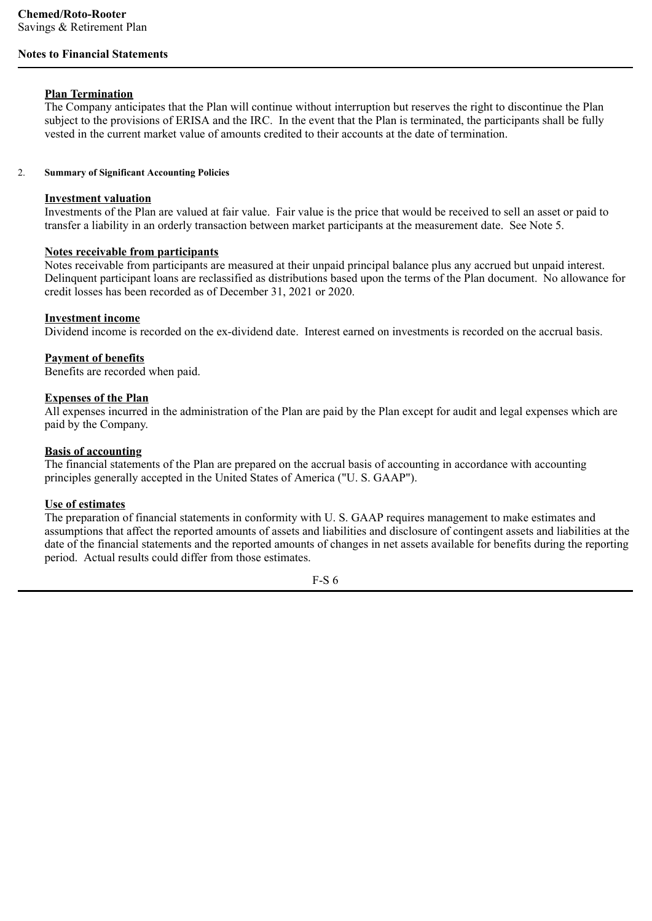# **Plan Termination**

The Company anticipates that the Plan will continue without interruption but reserves the right to discontinue the Plan subject to the provisions of ERISA and the IRC. In the event that the Plan is terminated, the participants shall be fully vested in the current market value of amounts credited to their accounts at the date of termination.

### 2. **Summary of Significant Accounting Policies**

## **Investment valuation**

Investments of the Plan are valued at fair value. Fair value is the price that would be received to sell an asset or paid to transfer a liability in an orderly transaction between market participants at the measurement date. See Note 5.

# **Notes receivable from participants**

Notes receivable from participants are measured at their unpaid principal balance plus any accrued but unpaid interest. Delinquent participant loans are reclassified as distributions based upon the terms of the Plan document. No allowance for credit losses has been recorded as of December 31, 2021 or 2020.

# **Investment income**

Dividend income is recorded on the ex-dividend date. Interest earned on investments is recorded on the accrual basis.

# **Payment of benefits**

Benefits are recorded when paid.

# **Expenses of the Plan**

All expenses incurred in the administration of the Plan are paid by the Plan except for audit and legal expenses which are paid by the Company.

#### **Basis of accounting**

The financial statements of the Plan are prepared on the accrual basis of accounting in accordance with accounting principles generally accepted in the United States of America ("U. S. GAAP").

### **Use of estimates**

The preparation of financial statements in conformity with U. S. GAAP requires management to make estimates and assumptions that affect the reported amounts of assets and liabilities and disclosure of contingent assets and liabilities at the date of the financial statements and the reported amounts of changes in net assets available for benefits during the reporting period. Actual results could differ from those estimates.

$$
F-S6
$$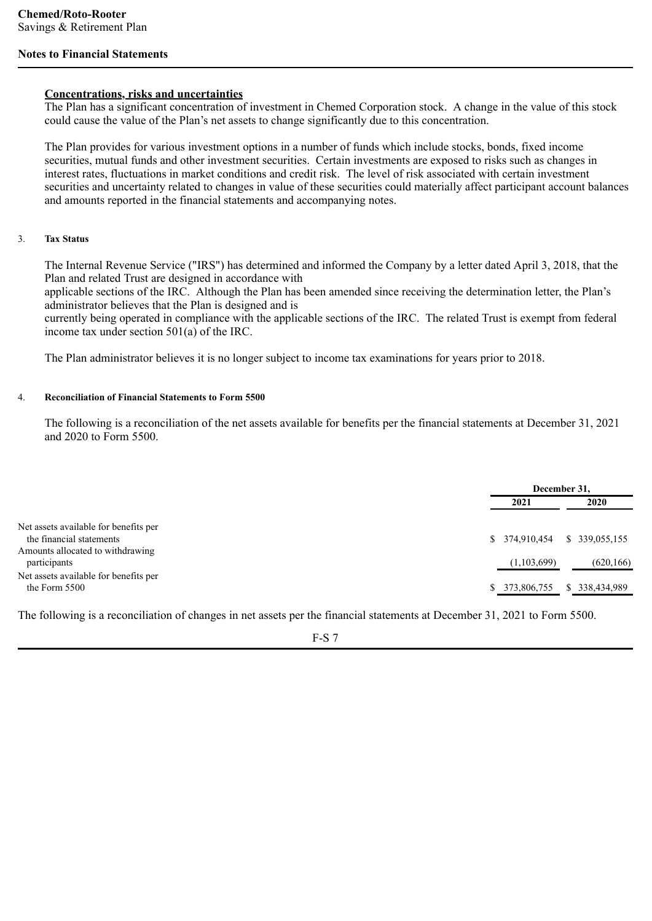### **Concentrations, risks and uncertainties**

The Plan has a significant concentration of investment in Chemed Corporation stock. A change in the value of this stock could cause the value of the Plan's net assets to change significantly due to this concentration.

The Plan provides for various investment options in a number of funds which include stocks, bonds, fixed income securities, mutual funds and other investment securities. Certain investments are exposed to risks such as changes in interest rates, fluctuations in market conditions and credit risk. The level of risk associated with certain investment securities and uncertainty related to changes in value of these securities could materially affect participant account balances and amounts reported in the financial statements and accompanying notes.

### 3. **Tax Status**

The Internal Revenue Service ("IRS") has determined and informed the Company by a letter dated April 3, 2018, that the Plan and related Trust are designed in accordance with

applicable sections of the IRC. Although the Plan has been amended since receiving the determination letter, the Plan's administrator believes that the Plan is designed and is

currently being operated in compliance with the applicable sections of the IRC. The related Trust is exempt from federal income tax under section 501(a) of the IRC.

The Plan administrator believes it is no longer subject to income tax examinations for years prior to 2018.

### 4. **Reconciliation of Financial Statements to Form 5500**

The following is a reconciliation of the net assets available for benefits per the financial statements at December 31, 2021 and 2020 to Form 5500.

|                                       |               | December 31.   |  |  |
|---------------------------------------|---------------|----------------|--|--|
|                                       | 2021          | 2020           |  |  |
| Net assets available for benefits per |               |                |  |  |
| the financial statements              | \$374,910,454 | \$ 339,055,155 |  |  |
| Amounts allocated to withdrawing      |               |                |  |  |
| participants                          | (1,103,699)   | (620, 166)     |  |  |
| Net assets available for benefits per |               |                |  |  |
| the Form 5500                         | 373,806,755   | \$ 338,434,989 |  |  |

The following is a reconciliation of changes in net assets per the financial statements at December 31, 2021 to Form 5500.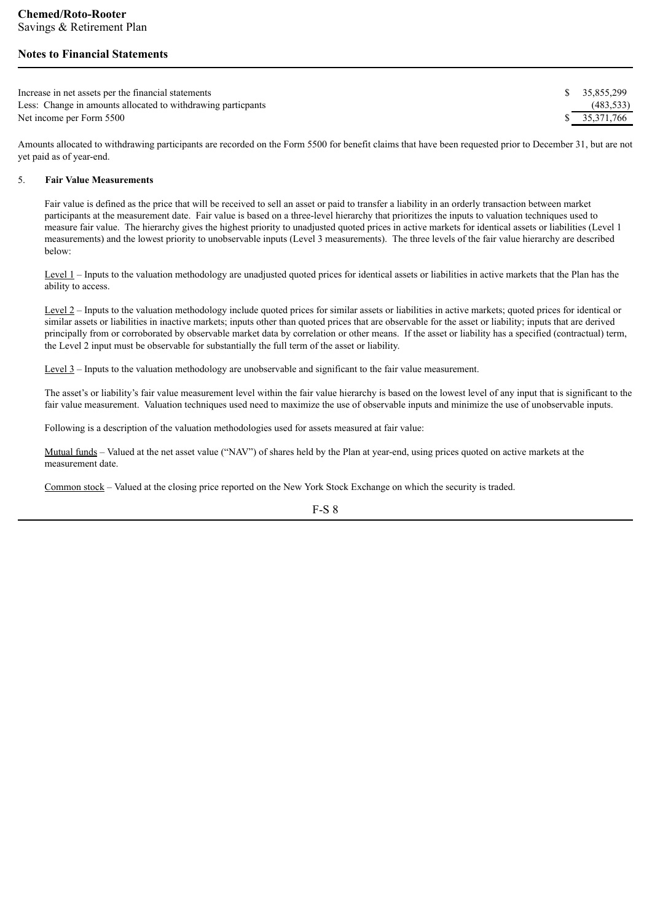| Increase in net assets per the financial statements          | \$35,855,299  |
|--------------------------------------------------------------|---------------|
| Less: Change in amounts allocated to withdrawing particpants | (483, 533)    |
| Net income per Form 5500                                     | \$ 35,371,766 |

Amounts allocated to withdrawing participants are recorded on the Form 5500 for benefit claims that have been requested prior to December 31, but are not yet paid as of year-end.

#### 5. **Fair Value Measurements**

Fair value is defined as the price that will be received to sell an asset or paid to transfer a liability in an orderly transaction between market participants at the measurement date. Fair value is based on a three-level hierarchy that prioritizes the inputs to valuation techniques used to measure fair value. The hierarchy gives the highest priority to unadjusted quoted prices in active markets for identical assets or liabilities (Level 1 measurements) and the lowest priority to unobservable inputs (Level 3 measurements). The three levels of the fair value hierarchy are described below:

Level 1 – Inputs to the valuation methodology are unadjusted quoted prices for identical assets or liabilities in active markets that the Plan has the ability to access.

Level 2 – Inputs to the valuation methodology include quoted prices for similar assets or liabilities in active markets; quoted prices for identical or similar assets or liabilities in inactive markets; inputs other than quoted prices that are observable for the asset or liability; inputs that are derived principally from or corroborated by observable market data by correlation or other means. If the asset or liability has a specified (contractual) term, the Level 2 input must be observable for substantially the full term of the asset or liability.

Level 3 – Inputs to the valuation methodology are unobservable and significant to the fair value measurement.

The asset's or liability's fair value measurement level within the fair value hierarchy is based on the lowest level of any input that is significant to the fair value measurement. Valuation techniques used need to maximize the use of observable inputs and minimize the use of unobservable inputs.

Following is a description of the valuation methodologies used for assets measured at fair value:

Mutual funds – Valued at the net asset value ("NAV") of shares held by the Plan at year-end, using prices quoted on active markets at the measurement date.

Common stock – Valued at the closing price reported on the New York Stock Exchange on which the security is traded.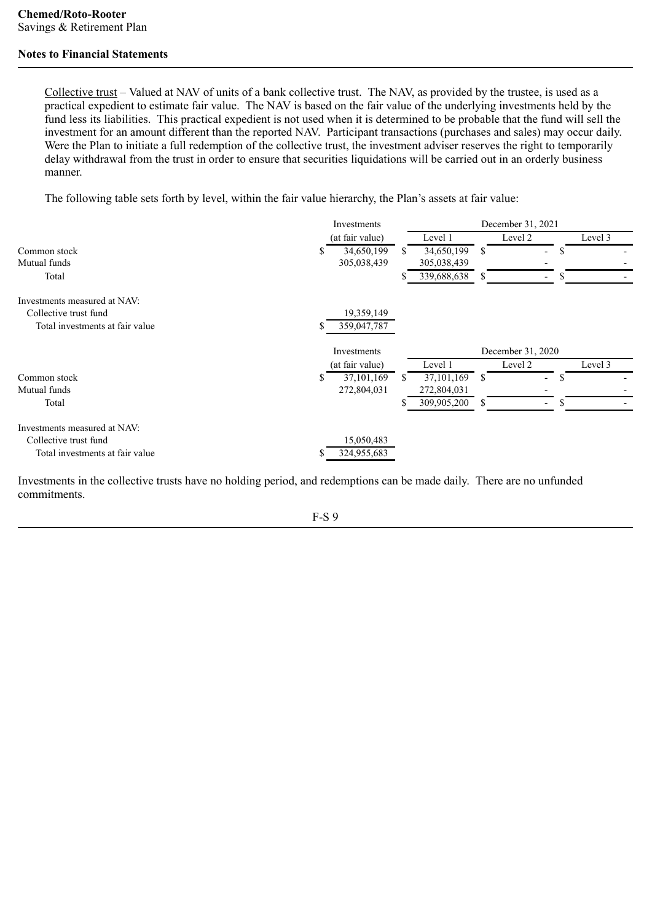Collective trust – Valued at NAV of units of a bank collective trust. The NAV, as provided by the trustee, is used as a practical expedient to estimate fair value. The NAV is based on the fair value of the underlying investments held by the fund less its liabilities. This practical expedient is not used when it is determined to be probable that the fund will sell the investment for an amount different than the reported NAV. Participant transactions (purchases and sales) may occur daily. Were the Plan to initiate a full redemption of the collective trust, the investment adviser reserves the right to temporarily delay withdrawal from the trust in order to ensure that securities liquidations will be carried out in an orderly business manner.

The following table sets forth by level, within the fair value hierarchy, the Plan's assets at fair value:

|                                 | Investments       |    |                   |               | December 31, 2021        |    |         |  |
|---------------------------------|-------------------|----|-------------------|---------------|--------------------------|----|---------|--|
|                                 | (at fair value)   |    | Level 1           |               | Level 2                  |    | Level 3 |  |
| Common stock                    | 34,650,199        |    | 34,650,199        | -S            |                          | S. |         |  |
| Mutual funds                    | 305,038,439       |    | 305,038,439       |               |                          |    |         |  |
| Total                           |                   |    | 339,688,638       | \$            | $\overline{\phantom{0}}$ | S  |         |  |
| Investments measured at NAV:    |                   |    |                   |               |                          |    |         |  |
| Collective trust fund           | 19,359,149        |    |                   |               |                          |    |         |  |
| Total investments at fair value | 359,047,787<br>S  |    |                   |               |                          |    |         |  |
|                                 | Investments       |    | December 31, 2020 |               |                          |    |         |  |
|                                 | (at fair value)   |    | Level 1           |               | Level 2                  |    | Level 3 |  |
| Common stock                    | 37, 101, 169<br>S | S. | 37, 101, 169      | <sup>\$</sup> | $\overline{\phantom{0}}$ | S  |         |  |
| Mutual funds                    | 272,804,031       |    | 272,804,031       |               |                          |    |         |  |
| Total                           |                   |    | 309,905,200       | \$.           | $\overline{\phantom{a}}$ | S  |         |  |
| Investments measured at NAV:    |                   |    |                   |               |                          |    |         |  |
| Collective trust fund           | 15,050,483        |    |                   |               |                          |    |         |  |
| Total investments at fair value | 324,955,683       |    |                   |               |                          |    |         |  |

Investments in the collective trusts have no holding period, and redemptions can be made daily. There are no unfunded commitments.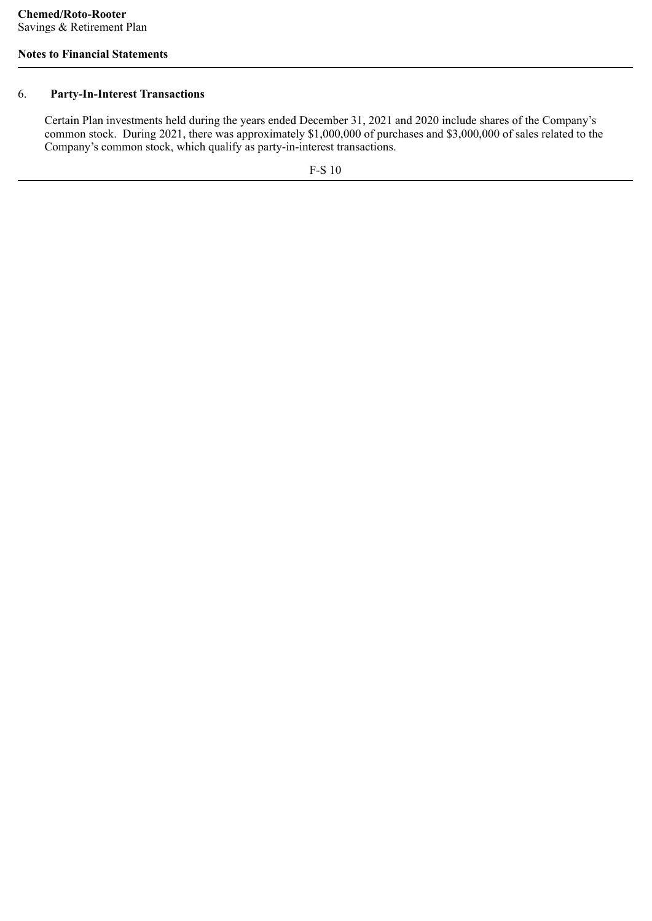### 6. **Party-In-Interest Transactions**

Certain Plan investments held during the years ended December 31, 2021 and 2020 include shares of the Company's common stock. During 2021, there was approximately \$1,000,000 of purchases and \$3,000,000 of sales related to the Company's common stock, which qualify as party-in-interest transactions.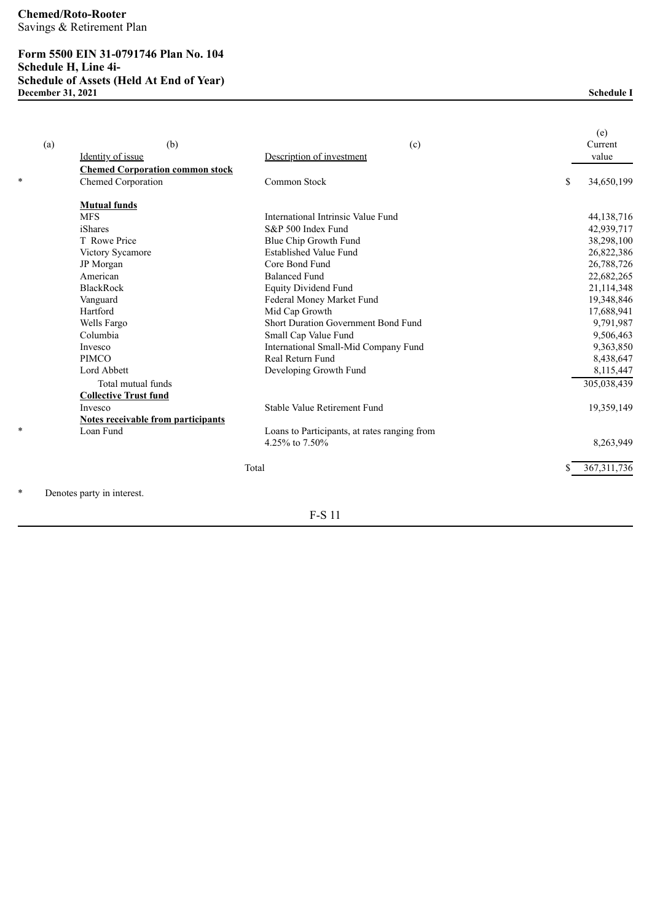**Chemed/Roto-Rooter** Savings & Retirement Plan

**Form 5500 EIN 31-0791746 Plan No. 104 Schedule H, Line 4i-Schedule of Assets (Held At End of Year) December 31, 2021 Schedule I**

| (a) | (b)<br><b>Identity of issue</b>           | (c)<br>Description of investment             | (e)<br>Current<br>value |
|-----|-------------------------------------------|----------------------------------------------|-------------------------|
|     | <b>Chemed Corporation common stock</b>    |                                              |                         |
| *   | Chemed Corporation                        | Common Stock                                 | 34,650,199<br>\$        |
|     | <b>Mutual funds</b>                       |                                              |                         |
|     | <b>MFS</b>                                | International Intrinsic Value Fund           | 44,138,716              |
|     | iShares                                   | S&P 500 Index Fund                           | 42,939,717              |
|     | T Rowe Price                              | Blue Chip Growth Fund                        | 38,298,100              |
|     | Victory Sycamore                          | <b>Established Value Fund</b>                | 26,822,386              |
|     | JP Morgan                                 | Core Bond Fund                               | 26,788,726              |
|     | American                                  | <b>Balanced Fund</b>                         | 22,682,265              |
|     | <b>BlackRock</b>                          | <b>Equity Dividend Fund</b>                  | 21,114,348              |
|     | Vanguard                                  | Federal Money Market Fund                    | 19,348,846              |
|     | Hartford                                  | Mid Cap Growth                               | 17,688,941              |
|     | Wells Fargo                               | <b>Short Duration Government Bond Fund</b>   | 9,791,987               |
|     | Columbia                                  | Small Cap Value Fund                         | 9,506,463               |
|     | Invesco                                   | International Small-Mid Company Fund         | 9,363,850               |
|     | <b>PIMCO</b>                              | Real Return Fund                             | 8,438,647               |
|     | Lord Abbett                               | Developing Growth Fund                       | 8,115,447               |
|     | Total mutual funds                        |                                              | 305,038,439             |
|     | <b>Collective Trust fund</b>              |                                              |                         |
|     | Invesco                                   | Stable Value Retirement Fund                 | 19,359,149              |
|     | <b>Notes receivable from participants</b> |                                              |                         |
| *   | Loan Fund                                 | Loans to Participants, at rates ranging from |                         |
|     |                                           | 4.25% to 7.50%                               | 8,263,949               |
|     |                                           | Total                                        | 367, 311, 736<br>\$     |
| *   | Denotes party in interest.                |                                              |                         |